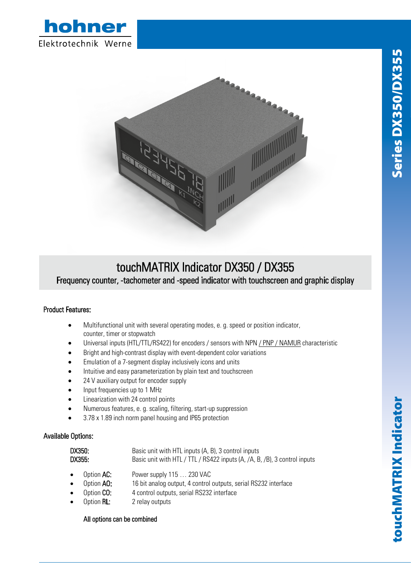



## touchMATRIX Indicator DX350 / DX355

Frequency counter, -tachometer and -speed indicator with touchscreen and graphic display

## Product Features:

- Multifunctional unit with several operating modes, e. g. speed or position indicator, counter, timer or stopwatch
- Universal inputs (HTL/TTL/RS422) for encoders / sensors with NPN / PNP / NAMUR characteristic
- Bright and high-contrast display with event-dependent color variations
- Emulation of a 7-segment display inclusively icons and units
- Intuitive and easy parameterization by plain text and touchscreen
- 24 V auxiliary output for encoder supply
- Input frequencies up to 1 MHz
- Linearization with 24 control points
- Numerous features, e. g. scaling, filtering, start-up suppression
- 3.78 x 1.89 inch norm panel housing and IP65 protection

## Available Options:

| DX350:<br>DX355: |                      | Basic unit with HTL inputs (A, B), 3 control inputs<br>Basic unit with HTL / TTL / RS422 inputs (A, /A, B, /B), 3 control inputs |
|------------------|----------------------|----------------------------------------------------------------------------------------------------------------------------------|
|                  | $\bullet$ Option AC: | Power supply 115  230 VAC                                                                                                        |
| $\bullet$        | Option <b>AO:</b>    | 16 bit analog output, 4 control outputs, serial RS232 interface                                                                  |
| $\bullet$        | Option CO:           | 4 control outputs, serial RS232 interface                                                                                        |
|                  | $\bullet$ Option RL: | 2 relay outputs                                                                                                                  |

## All options can be combined